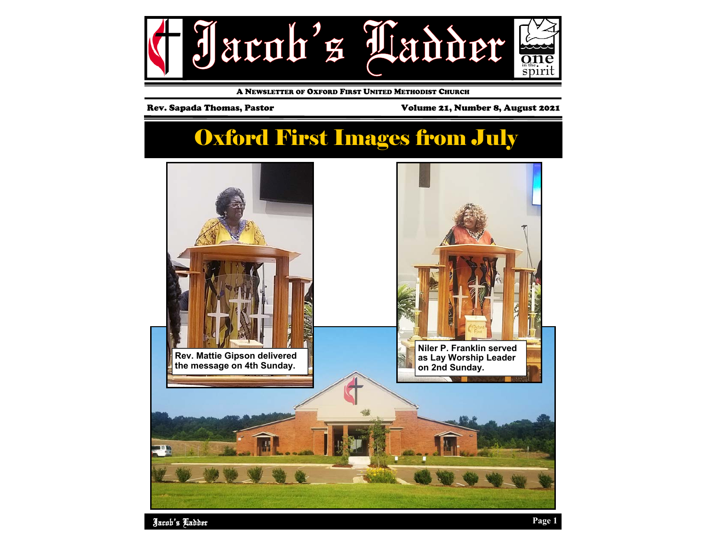

A NEWSLETTER OF OXFORD FIRST UNITED METHODIST CHURCH

Rev. Sapada Thomas, Pastor **Volume 21, Number 8, August 2021** 

### Oxford First Images from July

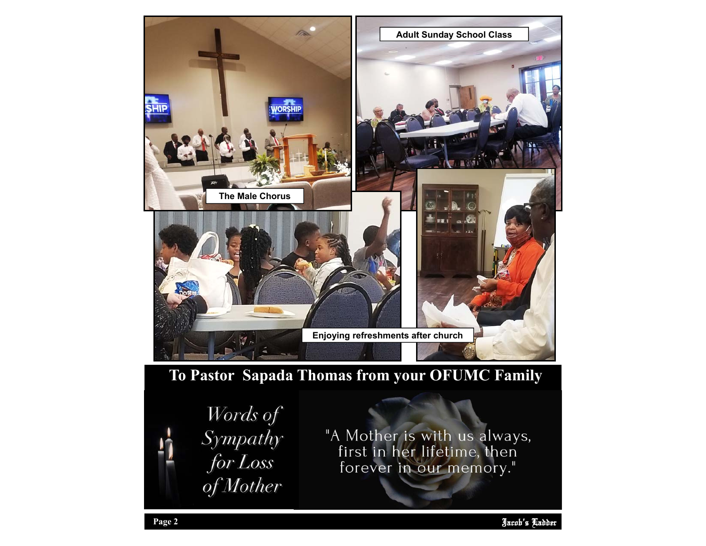

### **To Pastor Sapada Thomas from your OFUMC Family**



"A Mother is with us always,<br>first in her lifetime, then forever in our memory."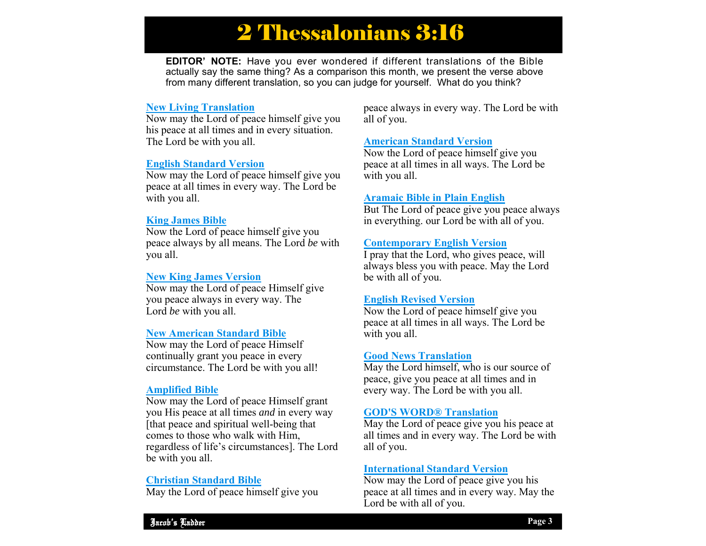## 2 Thessalonians 3:16

**EDITOR' NOTE:** Have you ever wondered if different translations of the Bible actually say the same thing? As a comparison this month, we present the verse above from many different translation, so you can judge for yourself. What do you think?

#### **New Living Translation**

Now may the Lord of peace himself give you his peace at all times and in every situation. The Lord be with you all.

#### **English Standard Version**

Now may the Lord of peace himself give you peace at all times in every way. The Lord be with you all.

#### **King James Bible**

Now the Lord of peace himself give you peace always by all means. The Lord *be* with you all.

#### **New King James Version**

Now may the Lord of peace Himself give you peace always in every way. The Lord *be* with you all.

#### **New American Standard Bible**

Now may the Lord of peace Himself continually grant you peace in every circumstance. The Lord be with you all!

#### **Amplified Bible**

Now may the Lord of peace Himself grant you His peace at all times *and* in every way [that peace and spiritual well-being that comes to those who walk with Him, regardless of life's circumstances]. The Lord be with you all.

#### **Christian Standard Bible**

May the Lord of peace himself give you

peace always in every way. The Lord be with all of you.

#### **American Standard Version**

Now the Lord of peace himself give you peace at all times in all ways. The Lord be with you all.

#### **Aramaic Bible in Plain English**

But The Lord of peace give you peace always in everything. our Lord be with all of you.

#### **Contemporary English Version**

I pray that the Lord, who gives peace, will always bless you with peace. May the Lord be with all of you.

#### **English Revised Version**

Now the Lord of peace himself give you peace at all times in all ways. The Lord be with you all.

#### **Good News Translation**

May the Lord himself, who is our source of peace, give you peace at all times and in every way. The Lord be with you all.

#### **GOD'S WORD® Translation**

May the Lord of peace give you his peace at all times and in every way. The Lord be with all of you.

#### **International Standard Version**

 Now may the Lord of peace give you his peace at all times and in every way. May the Lord be with all of you.